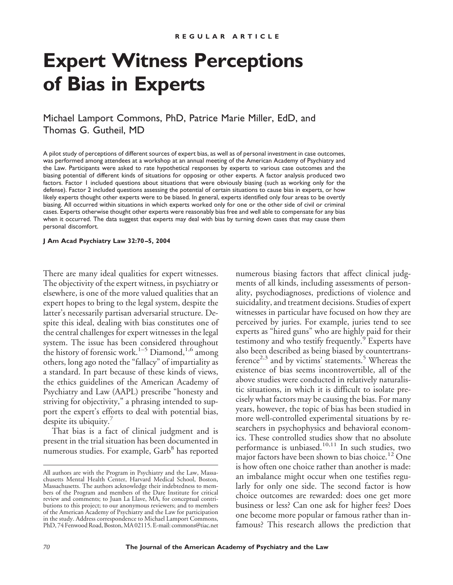# **Expert Witness Perceptions of Bias in Experts**

Michael Lamport Commons, PhD, Patrice Marie Miller, EdD, and Thomas G. Gutheil, MD

A pilot study of perceptions of different sources of expert bias, as well as of personal investment in case outcomes, was performed among attendees at a workshop at an annual meeting of the American Academy of Psychiatry and the Law. Participants were asked to rate hypothetical responses by experts to various case outcomes and the biasing potential of different kinds of situations for opposing or other experts. A factor analysis produced two factors. Factor 1 included questions about situations that were obviously biasing (such as working only for the defense). Factor 2 included questions assessing the potential of certain situations to cause bias in experts, or how likely experts thought other experts were to be biased. In general, experts identified only four areas to be overtly biasing. All occurred within situations in which experts worked only for one or the other side of civil or criminal cases. Experts otherwise thought other experts were reasonably bias free and well able to compensate for any bias when it occurred. The data suggest that experts may deal with bias by turning down cases that may cause them personal discomfort.

**J Am Acad Psychiatry Law 32:70–5, 2004**

There are many ideal qualities for expert witnesses. The objectivity of the expert witness, in psychiatry or elsewhere, is one of the more valued qualities that an expert hopes to bring to the legal system, despite the latter's necessarily partisan adversarial structure. Despite this ideal, dealing with bias constitutes one of the central challenges for expert witnesses in the legal system. The issue has been considered throughout the history of forensic work.<sup>1-5</sup> Diamond,<sup>1,6</sup> among others, long ago noted the "fallacy" of impartiality as a standard. In part because of these kinds of views, the ethics guidelines of the American Academy of Psychiatry and Law (AAPL) prescribe "honesty and striving for objectivity," a phrasing intended to support the expert's efforts to deal with potential bias, despite its ubiquity.<sup>7</sup>

That bias is a fact of clinical judgment and is present in the trial situation has been documented in numerous studies. For example, Garb<sup>8</sup> has reported

numerous biasing factors that affect clinical judgments of all kinds, including assessments of personality, psychodiagnoses, predictions of violence and suicidality, and treatment decisions. Studies of expert witnesses in particular have focused on how they are perceived by juries. For example, juries tend to see experts as "hired guns" who are highly paid for their testimony and who testify frequently.<sup>9</sup> Experts have also been described as being biased by countertransference<sup>2,3</sup> and by victims' statements.<sup>5</sup> Whereas the existence of bias seems incontrovertible, all of the above studies were conducted in relatively naturalistic situations, in which it is difficult to isolate precisely what factors may be causing the bias. For many years, however, the topic of bias has been studied in more well-controlled experimental situations by researchers in psychophysics and behavioral economics. These controlled studies show that no absolute performance is unbiased.<sup>10,11</sup> In such studies, two major factors have been shown to bias choice.<sup>12</sup> One is how often one choice rather than another is made: an imbalance might occur when one testifies regularly for only one side. The second factor is how choice outcomes are rewarded: does one get more business or less? Can one ask for higher fees? Does one become more popular or famous rather than infamous? This research allows the prediction that

All authors are with the Program in Psychiatry and the Law, Massachusetts Mental Health Center, Harvard Medical School, Boston, Massachusetts. The authors acknowledge their indebtedness to members of the Program and members of the Dare Institute for critical review and comments; to Juan La Llave, MA, for conceptual contributions to this project; to our anonymous reviewers; and to members of the American Academy of Psychiatry and the Law for participation in the study. Address correspondence to Michael Lamport Commons, PhD, 74 Fenwood Road, Boston, MA 02115. E-mail: commons@tiac.net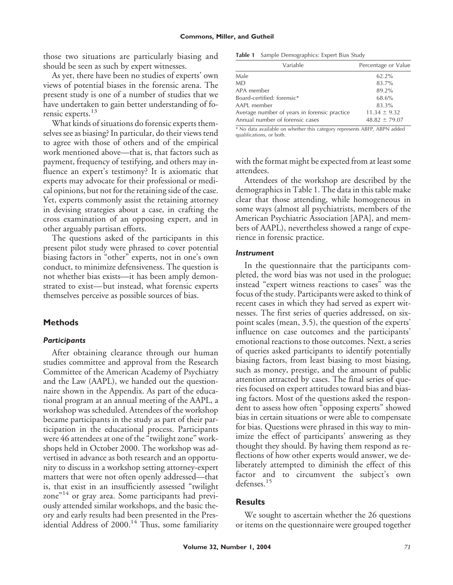those two situations are particularly biasing and should be seen as such by expert witnesses.

As yet, there have been no studies of experts' own views of potential biases in the forensic arena. The present study is one of a number of studies that we have undertaken to gain better understanding of forensic experts.<sup>13</sup>

What kinds of situations do forensic experts themselves see as biasing? In particular, do their views tend to agree with those of others and of the empirical work mentioned above—that is, that factors such as payment, frequency of testifying, and others may influence an expert's testimony? It is axiomatic that experts may advocate for their professional or medical opinions, but not for the retaining side of the case. Yet, experts commonly assist the retaining attorney in devising strategies about a case, in crafting the cross examination of an opposing expert, and in other arguably partisan efforts.

The questions asked of the participants in this present pilot study were phrased to cover potential biasing factors in "other" experts, not in one's own conduct, to minimize defensiveness. The question is not whether bias exists—it has been amply demonstrated to exist—but instead, what forensic experts themselves perceive as possible sources of bias.

# **Methods**

## *Participants*

After obtaining clearance through our human studies committee and approval from the Research Committee of the American Academy of Psychiatry and the Law (AAPL), we handed out the questionnaire shown in the Appendix. As part of the educational program at an annual meeting of the AAPL, a workshop was scheduled. Attendees of the workshop became participants in the study as part of their participation in the educational process. Participants were 46 attendees at one of the "twilight zone" workshops held in October 2000. The workshop was advertised in advance as both research and an opportunity to discuss in a workshop setting attorney-expert matters that were not often openly addressed—that is, that exist in an insufficiently assessed "twilight zone" <sup>14</sup> or gray area. Some participants had previously attended similar workshops, and the basic theory and early results had been presented in the Presidential Address of 2000.<sup>14</sup> Thus, some familiarity

**Table 1** Sample Demographics: Expert Bias Study

| Variable                                     | Percentage or Value |
|----------------------------------------------|---------------------|
| Male                                         | $62.2\%$            |
| <b>MD</b>                                    | 83.7%               |
| APA member                                   | 89.2%               |
| Board-certified: forensic*                   | 68.6%               |
| AAPL member                                  | 83.3%               |
| Average number of years in forensic practice | $11.34 \pm 9.32$    |
| Annual number of forensic cases              | $48.82 \pm 79.07$   |

\* No data available on whether this category represents ABFP, ABPN added qualifications, or both.

with the format might be expected from at least some attendees.

Attendees of the workshop are described by the demographics in Table 1. The data in this table make clear that those attending, while homogeneous in some ways (almost all psychiatrists, members of the American Psychiatric Association [APA], and members of AAPL), nevertheless showed a range of experience in forensic practice.

### *Instrument*

In the questionnaire that the participants completed, the word bias was not used in the prologue; instead "expert witness reactions to cases" was the focus of the study. Participants were asked to think of recent cases in which they had served as expert witnesses. The first series of queries addressed, on sixpoint scales (mean, 3.5), the question of the experts' influence on case outcomes and the participants' emotional reactions to those outcomes. Next, a series of queries asked participants to identify potentially biasing factors, from least biasing to most biasing, such as money, prestige, and the amount of public attention attracted by cases. The final series of queries focused on expert attitudes toward bias and biasing factors. Most of the questions asked the respondent to assess how often "opposing experts" showed bias in certain situations or were able to compensate for bias. Questions were phrased in this way to minimize the effect of participants' answering as they thought they should. By having them respond as reflections of how other experts would answer, we deliberately attempted to diminish the effect of this factor and to circumvent the subject's own defenses.<sup>15</sup>

# **Results**

We sought to ascertain whether the 26 questions or items on the questionnaire were grouped together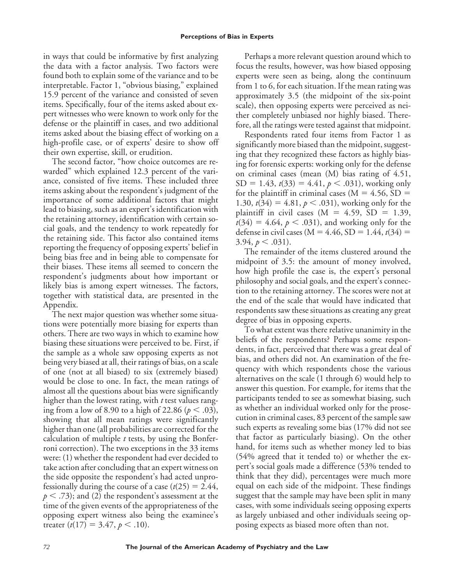in ways that could be informative by first analyzing the data with a factor analysis. Two factors were found both to explain some of the variance and to be interpretable. Factor 1, "obvious biasing," explained 15.9 percent of the variance and consisted of seven items. Specifically, four of the items asked about expert witnesses who were known to work only for the defense or the plaintiff in cases, and two additional items asked about the biasing effect of working on a high-profile case, or of experts' desire to show off their own expertise, skill, or erudition.

The second factor, "how choice outcomes are rewarded" which explained 12.3 percent of the variance, consisted of five items. These included three items asking about the respondent's judgment of the importance of some additional factors that might lead to biasing, such as an expert's identification with the retaining attorney, identification with certain social goals, and the tendency to work repeatedly for the retaining side. This factor also contained items reporting the frequency of opposing experts' belief in being bias free and in being able to compensate for their biases. These items all seemed to concern the respondent's judgments about how important or likely bias is among expert witnesses. The factors, together with statistical data, are presented in the Appendix.

The next major question was whether some situations were potentially more biasing for experts than others. There are two ways in which to examine how biasing these situations were perceived to be. First, if the sample as a whole saw opposing experts as not being very biased at all, their ratings of bias, on a scale of one (not at all biased) to six (extremely biased) would be close to one. In fact, the mean ratings of almost all the questions about bias were significantly higher than the lowest rating, with *t* test values ranging from a low of 8.90 to a high of 22.86 ( $p < .03$ ), showing that all mean ratings were significantly higher than one (all probabilities are corrected for the calculation of multiple *t* tests, by using the Bonferroni correction). The two exceptions in the 33 items were: (1) whether the respondent had ever decided to take action after concluding that an expert witness on the side opposite the respondent's had acted unprofessionally during the course of a case  $(t(25) = 2.44$ ,  $p<$  .73); and (2) the respondent's assessment at the time of the given events of the appropriateness of the opposing expert witness also being the examinee's treater  $(t(17) = 3.47, p < .10)$ .

Perhaps a more relevant question around which to focus the results, however, was how biased opposing experts were seen as being, along the continuum from 1 to 6, for each situation. If the mean rating was approximately 3.5 (the midpoint of the six-point scale), then opposing experts were perceived as neither completely unbiased nor highly biased. Therefore, all the ratings were tested against that midpoint.

Respondents rated four items from Factor 1 as significantly more biased than the midpoint, suggesting that they recognized these factors as highly biasing for forensic experts: working only for the defense on criminal cases (mean (M) bias rating of 4.51,  $SD = 1.43$ ,  $t(33) = 4.41$ ,  $p < .031$ ), working only for the plaintiff in criminal cases ( $M = 4.56$ , SD = 1.30,  $t(34) = 4.81, p < .031$ ), working only for the plaintiff in civil cases ( $M = 4.59$ ,  $SD = 1.39$ ,  $t(34) = 4.64, p < .031$ ), and working only for the defense in civil cases ( $M = 4.46$ ,  $SD = 1.44$ ,  $t(34) =$  $3.94, p \leq .031$ ).

The remainder of the items clustered around the midpoint of 3.5: the amount of money involved, how high profile the case is, the expert's personal philosophy and social goals, and the expert's connection to the retaining attorney. The scores were not at the end of the scale that would have indicated that respondents saw these situations as creating any great degree of bias in opposing experts.

To what extent was there relative unanimity in the beliefs of the respondents? Perhaps some respondents, in fact, perceived that there was a great deal of bias, and others did not. An examination of the frequency with which respondents chose the various alternatives on the scale (1 through 6) would help to answer this question. For example, for items that the participants tended to see as somewhat biasing, such as whether an individual worked only for the prosecution in criminal cases, 83 percent of the sample saw such experts as revealing some bias (17% did not see that factor as particularly biasing). On the other hand, for items such as whether money led to bias (54% agreed that it tended to) or whether the expert's social goals made a difference (53% tended to think that they did), percentages were much more equal on each side of the midpoint. These findings suggest that the sample may have been split in many cases, with some individuals seeing opposing experts as largely unbiased and other individuals seeing opposing expects as biased more often than not.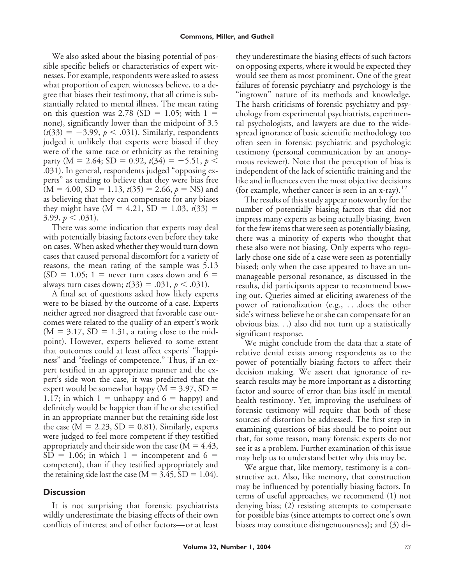We also asked about the biasing potential of possible specific beliefs or characteristics of expert witnesses. For example, respondents were asked to assess what proportion of expert witnesses believe, to a degree that biases their testimony, that all crime is substantially related to mental illness. The mean rating on this question was 2.78 (SD = 1.05; with  $1 =$ none), significantly lower than the midpoint of 3.5  $(t(33) = -3.99, p < .031)$ . Similarly, respondents judged it unlikely that experts were biased if they were of the same race or ethnicity as the retaining party ( $M = 2.64$ ; SD = 0.92,  $t(34) = -5.51$ ,  $p <$ .031). In general, respondents judged "opposing experts" as tending to believe that they were bias free  $(M = 4.00, SD = 1.13, t(35) = 2.66, p = NS)$  and as believing that they can compensate for any biases they might have  $(M = 4.21, SD = 1.03, t(33) =$  $3.99, p \leq .031$ ).

There was some indication that experts may deal with potentially biasing factors even before they take on cases. When asked whether they would turn down cases that caused personal discomfort for a variety of reasons, the mean rating of the sample was 5.13  $(SD = 1.05; 1 =$  never turn cases down and 6 = always turn cases down;  $t(33) = .031, p < .031$ ).

A final set of questions asked how likely experts were to be biased by the outcome of a case. Experts neither agreed nor disagreed that favorable case outcomes were related to the quality of an expert's work  $(M = 3.17, SD = 1.31, a rating close to the mid$ point). However, experts believed to some extent that outcomes could at least affect experts' "happiness" and "feelings of competence." Thus, if an expert testified in an appropriate manner and the expert's side won the case, it was predicted that the expert would be somewhat happy  $(M = 3.97, SD =$ 1.17; in which  $1 =$  unhappy and  $6 =$  happy) and definitely would be happier than if he or she testified in an appropriate manner but the retaining side lost the case ( $M = 2.23$ ,  $SD = 0.81$ ). Similarly, experts were judged to feel more competent if they testified appropriately and their side won the case ( $M = 4.43$ ,  $SD = 1.06$ ; in which 1 = incompetent and 6 = competent), than if they testified appropriately and the retaining side lost the case ( $M = 3.45$ , SD = 1.04).

# **Discussion**

It is not surprising that forensic psychiatrists wildly underestimate the biasing effects of their own conflicts of interest and of other factors—or at least they underestimate the biasing effects of such factors on opposing experts, where it would be expected they would see them as most prominent. One of the great failures of forensic psychiatry and psychology is the "ingrown" nature of its methods and knowledge. The harsh criticisms of forensic psychiatry and psychology from experimental psychiatrists, experimental psychologists, and lawyers are due to the widespread ignorance of basic scientific methodology too often seen in forensic psychiatric and psychologic testimony (personal communication by an anonymous reviewer). Note that the perception of bias is independent of the lack of scientific training and the like and influences even the most objective decisions (for example, whether cancer is seen in an x-ray).<sup>12</sup>

The results of this study appear noteworthy for the number of potentially biasing factors that did not impress many experts as being actually biasing. Even for the few items that were seen as potentially biasing, there was a minority of experts who thought that these also were not biasing. Only experts who regularly chose one side of a case were seen as potentially biased; only when the case appeared to have an unmanageable personal resonance, as discussed in the results, did participants appear to recommend bowing out. Queries aimed at eliciting awareness of the power of rationalization (e.g., . . .does the other side's witness believe he or she can compensate for an obvious bias. . .) also did not turn up a statistically significant response.

We might conclude from the data that a state of relative denial exists among respondents as to the power of potentially biasing factors to affect their decision making. We assert that ignorance of research results may be more important as a distorting factor and source of error than bias itself in mental health testimony. Yet, improving the usefulness of forensic testimony will require that both of these sources of distortion be addressed. The first step in examining questions of bias should be to point out that, for some reason, many forensic experts do not see it as a problem. Further examination of this issue may help us to understand better why this may be.

We argue that, like memory, testimony is a constructive act. Also, like memory, that construction may be influenced by potentially biasing factors. In terms of useful approaches, we recommend (1) not denying bias; (2) resisting attempts to compensate for possible bias (since attempts to correct one's own biases may constitute disingenuousness); and (3) di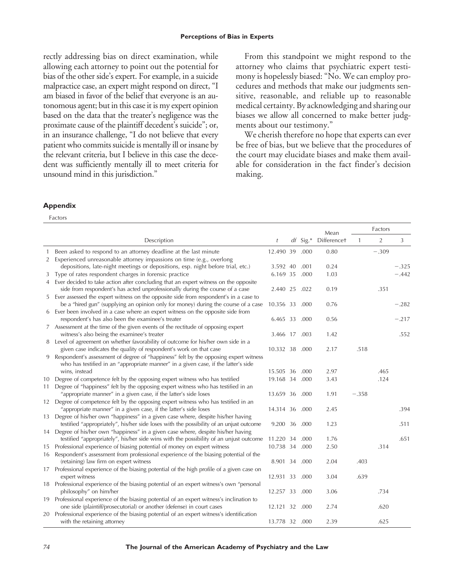rectly addressing bias on direct examination, while allowing each attorney to point out the potential for bias of the other side's expert. For example, in a suicide malpractice case, an expert might respond on direct, "I am biased in favor of the belief that everyone is an autonomous agent; but in this case it is my expert opinion based on the data that the treater's negligence was the proximate cause of the plaintiff decedent's suicide"; or, in an insurance challenge, "I do not believe that every patient who commits suicide is mentally ill or insane by the relevant criteria, but I believe in this case the decedent was sufficiently mentally ill to meet criteria for unsound mind in this jurisdiction."

From this standpoint we might respond to the attorney who claims that psychiatric expert testimony is hopelessly biased: "No. We can employ procedures and methods that make our judgments sensitive, reasonable, and reliable up to reasonable medical certainty. By acknowledging and sharing our biases we allow all concerned to make better judgments about our testimony."

We cherish therefore no hope that experts can ever be free of bias, but we believe that the procedures of the court may elucidate biases and make them available for consideration in the fact finder's decision making.

### **Appendix**

Factors

|    |                                                                                                                                                                     |                |            |             | Mean | Factors        |         |         |
|----|---------------------------------------------------------------------------------------------------------------------------------------------------------------------|----------------|------------|-------------|------|----------------|---------|---------|
|    | Description                                                                                                                                                         | t              | $df$ Sig.* | Differencet | 1    | $\overline{2}$ | 3       |         |
|    | Been asked to respond to an attorney deadline at the last minute                                                                                                    | 12.490 39      |            | .000        | 0.80 |                | $-.309$ |         |
| 2  | Experienced unreasonable attorney impassions on time (e.g., overlong                                                                                                |                |            |             |      |                |         |         |
|    | depositions, late-night meetings or depositions, esp. night before trial, etc.)                                                                                     | 3.592 40       |            | .001        | 0.24 |                |         | $-.325$ |
| 3  | Type of rates respondent charges in forensic practice                                                                                                               | 6.169 35       |            | .000        | 1.03 |                |         | $-.442$ |
| 4  | Ever decided to take action after concluding that an expert witness on the opposite                                                                                 |                |            |             |      |                |         |         |
|    | side from respondent's has acted unprofessionally during the course of a case                                                                                       | 2.440 25       |            | .022        | 0.19 |                | .351    |         |
| 5  | Ever assessed the expert witness on the opposite side from respondent's in a case to                                                                                |                |            |             |      |                |         |         |
|    | be a "hired gun" (supplying an opinion only for money) during the course of a case                                                                                  | 10.356 33      |            | .000        | 0.76 |                |         | $-.282$ |
|    | 6 Ever been involved in a case where an expert witness on the opposite side from                                                                                    |                |            |             |      |                |         |         |
|    | respondent's has also been the examinee's treater                                                                                                                   | 6.465 33       |            | .000        | 0.56 |                |         | $-.217$ |
|    | 7 Assessment at the time of the given events of the rectitude of opposing expert                                                                                    |                |            |             | 1.42 |                |         | .552    |
|    | witness's also being the examinee's treater<br>8 Level of agreement on whether favorability of outcome for his/her own side in a                                    | 3.466 17       |            | .003        |      |                |         |         |
|    | given case indicates the quality of respondent's work on that case                                                                                                  | 10.332 38      |            | .000        | 2.17 | .518           |         |         |
|    | 9 Respondent's assessment of degree of "happiness" felt by the opposing expert witness                                                                              |                |            |             |      |                |         |         |
|    | who has testified in an "appropriate manner" in a given case, if the latter's side                                                                                  |                |            |             |      |                |         |         |
|    | wins, instead                                                                                                                                                       | 15.505 36      |            | .000        | 2.97 |                | .465    |         |
|    | 10 Degree of competence felt by the opposing expert witness who has testified                                                                                       | 19.168 34      |            | .000        | 3.43 |                | .124    |         |
| 11 | Degree of "happiness" felt by the opposing expert witness who has testified in an                                                                                   |                |            |             |      |                |         |         |
|    | "appropriate manner" in a given case, if the latter's side loses                                                                                                    | 13.659 36      |            | .000        | 1.91 | $-.358$        |         |         |
|    | 12 Degree of competence felt by the opposing expert witness who has testified in an                                                                                 |                |            |             |      |                |         |         |
|    | "appropriate manner" in a given case, if the latter's side loses                                                                                                    | 14.314 36      |            | .000        | 2.45 |                |         | .394    |
| 13 | Degree of his/her own "happiness" in a given case where, despite his/her having                                                                                     |                |            |             |      |                |         |         |
|    | testified "appropriately", his/her side loses with the possibility of an unjust outcome                                                                             | 9.200 36       |            | .000        | 1.23 |                |         | .511    |
|    | 14 Degree of his/her own "happiness" in a given case where, despite his/her having                                                                                  |                |            |             |      |                |         |         |
|    | testified "appropriately", his/her side wins with the possibility of an unjust outcome                                                                              | 11.220 34      |            | .000        | 1.76 |                |         | .651    |
| 15 | Professional experience of biasing potential of money on expert witness                                                                                             | 10.738 34      |            | .000        | 2.50 |                | .314    |         |
|    | 16 Respondent's assessment from professional experience of the biasing potential of the                                                                             |                |            |             |      |                |         |         |
|    | (retaining) law firm on expert witness                                                                                                                              | 8.901 34       |            | .000        | 2.04 | .403           |         |         |
|    | 17 Professional experience of the biasing potential of the high profile of a given case on                                                                          |                |            |             |      |                |         |         |
|    | expert witness                                                                                                                                                      | 12.931         | 33         | .000        | 3.04 | .639           |         |         |
|    | 18 Professional experience of the biasing potential of an expert witness's own "personal                                                                            |                |            |             |      |                |         |         |
|    | philosophy" on him/her                                                                                                                                              | 12.257 33      |            | .000        | 3.06 |                | .734    |         |
|    | 19 Professional experience of the biasing potential of an expert witness's inclination to<br>one side (plaintiff/prosecutorial) or another (defense) in court cases |                |            |             | 2.74 |                | .620    |         |
|    | 20 Professional experience of the biasing potential of an expert witness's identification                                                                           | 12.121 32      |            | .000        |      |                |         |         |
|    | with the retaining attorney                                                                                                                                         | 13.778 32 .000 |            |             | 2.39 |                | .625    |         |
|    |                                                                                                                                                                     |                |            |             |      |                |         |         |